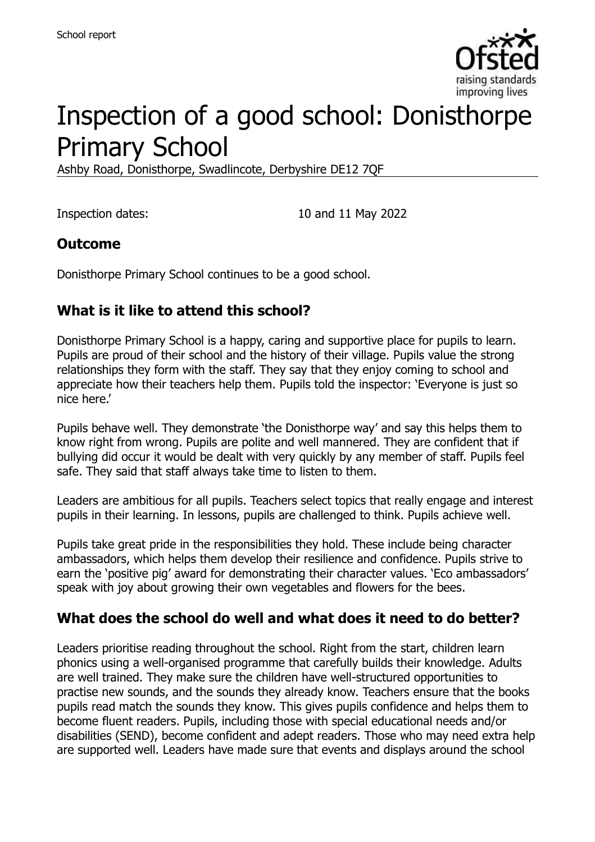

# Inspection of a good school: Donisthorpe Primary School

Ashby Road, Donisthorpe, Swadlincote, Derbyshire DE12 7QF

Inspection dates: 10 and 11 May 2022

#### **Outcome**

Donisthorpe Primary School continues to be a good school.

### **What is it like to attend this school?**

Donisthorpe Primary School is a happy, caring and supportive place for pupils to learn. Pupils are proud of their school and the history of their village. Pupils value the strong relationships they form with the staff. They say that they enjoy coming to school and appreciate how their teachers help them. Pupils told the inspector: 'Everyone is just so nice here.'

Pupils behave well. They demonstrate 'the Donisthorpe way' and say this helps them to know right from wrong. Pupils are polite and well mannered. They are confident that if bullying did occur it would be dealt with very quickly by any member of staff. Pupils feel safe. They said that staff always take time to listen to them.

Leaders are ambitious for all pupils. Teachers select topics that really engage and interest pupils in their learning. In lessons, pupils are challenged to think. Pupils achieve well.

Pupils take great pride in the responsibilities they hold. These include being character ambassadors, which helps them develop their resilience and confidence. Pupils strive to earn the 'positive pig' award for demonstrating their character values. 'Eco ambassadors' speak with joy about growing their own vegetables and flowers for the bees.

#### **What does the school do well and what does it need to do better?**

Leaders prioritise reading throughout the school. Right from the start, children learn phonics using a well-organised programme that carefully builds their knowledge. Adults are well trained. They make sure the children have well-structured opportunities to practise new sounds, and the sounds they already know. Teachers ensure that the books pupils read match the sounds they know. This gives pupils confidence and helps them to become fluent readers. Pupils, including those with special educational needs and/or disabilities (SEND), become confident and adept readers. Those who may need extra help are supported well. Leaders have made sure that events and displays around the school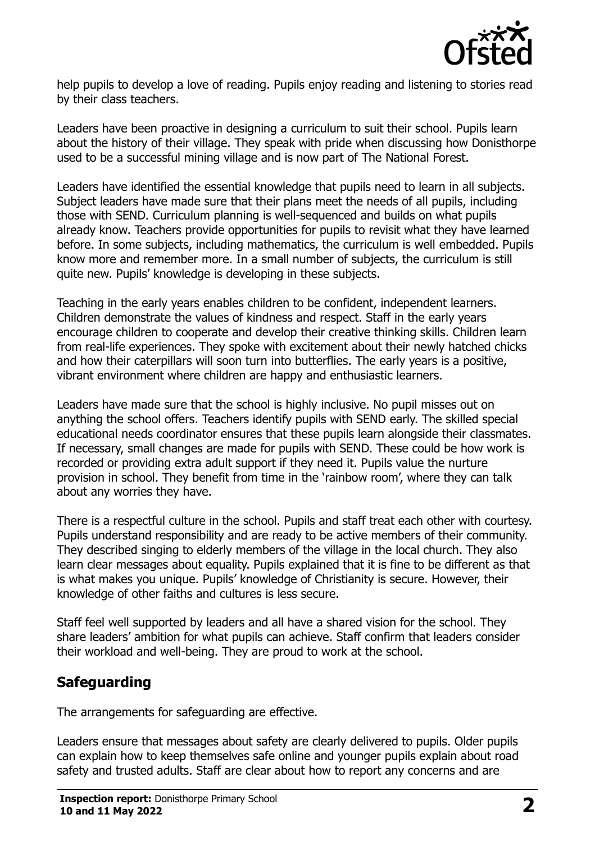

help pupils to develop a love of reading. Pupils enjoy reading and listening to stories read by their class teachers.

Leaders have been proactive in designing a curriculum to suit their school. Pupils learn about the history of their village. They speak with pride when discussing how Donisthorpe used to be a successful mining village and is now part of The National Forest.

Leaders have identified the essential knowledge that pupils need to learn in all subjects. Subject leaders have made sure that their plans meet the needs of all pupils, including those with SEND. Curriculum planning is well-sequenced and builds on what pupils already know. Teachers provide opportunities for pupils to revisit what they have learned before. In some subjects, including mathematics, the curriculum is well embedded. Pupils know more and remember more. In a small number of subjects, the curriculum is still quite new. Pupils' knowledge is developing in these subjects.

Teaching in the early years enables children to be confident, independent learners. Children demonstrate the values of kindness and respect. Staff in the early years encourage children to cooperate and develop their creative thinking skills. Children learn from real-life experiences. They spoke with excitement about their newly hatched chicks and how their caterpillars will soon turn into butterflies. The early years is a positive, vibrant environment where children are happy and enthusiastic learners.

Leaders have made sure that the school is highly inclusive. No pupil misses out on anything the school offers. Teachers identify pupils with SEND early. The skilled special educational needs coordinator ensures that these pupils learn alongside their classmates. If necessary, small changes are made for pupils with SEND. These could be how work is recorded or providing extra adult support if they need it. Pupils value the nurture provision in school. They benefit from time in the 'rainbow room', where they can talk about any worries they have.

There is a respectful culture in the school. Pupils and staff treat each other with courtesy. Pupils understand responsibility and are ready to be active members of their community. They described singing to elderly members of the village in the local church. They also learn clear messages about equality. Pupils explained that it is fine to be different as that is what makes you unique. Pupils' knowledge of Christianity is secure. However, their knowledge of other faiths and cultures is less secure.

Staff feel well supported by leaders and all have a shared vision for the school. They share leaders' ambition for what pupils can achieve. Staff confirm that leaders consider their workload and well-being. They are proud to work at the school.

# **Safeguarding**

The arrangements for safeguarding are effective.

Leaders ensure that messages about safety are clearly delivered to pupils. Older pupils can explain how to keep themselves safe online and younger pupils explain about road safety and trusted adults. Staff are clear about how to report any concerns and are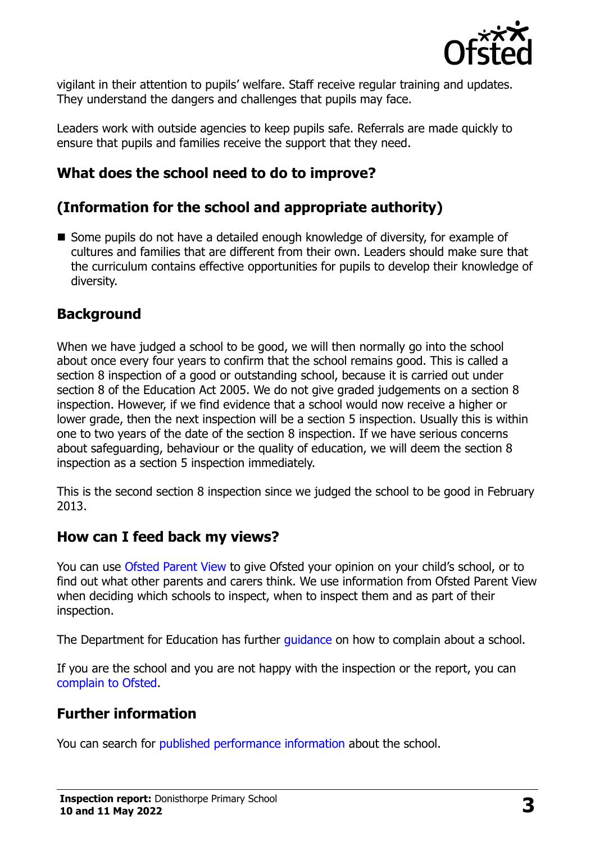

vigilant in their attention to pupils' welfare. Staff receive regular training and updates. They understand the dangers and challenges that pupils may face.

Leaders work with outside agencies to keep pupils safe. Referrals are made quickly to ensure that pupils and families receive the support that they need.

# **What does the school need to do to improve?**

# **(Information for the school and appropriate authority)**

■ Some pupils do not have a detailed enough knowledge of diversity, for example of cultures and families that are different from their own. Leaders should make sure that the curriculum contains effective opportunities for pupils to develop their knowledge of diversity.

### **Background**

When we have judged a school to be good, we will then normally go into the school about once every four years to confirm that the school remains good. This is called a section 8 inspection of a good or outstanding school, because it is carried out under section 8 of the Education Act 2005. We do not give graded judgements on a section 8 inspection. However, if we find evidence that a school would now receive a higher or lower grade, then the next inspection will be a section 5 inspection. Usually this is within one to two years of the date of the section 8 inspection. If we have serious concerns about safeguarding, behaviour or the quality of education, we will deem the section 8 inspection as a section 5 inspection immediately.

This is the second section 8 inspection since we judged the school to be good in February 2013.

#### **How can I feed back my views?**

You can use [Ofsted Parent View](https://parentview.ofsted.gov.uk/) to give Ofsted your opinion on your child's school, or to find out what other parents and carers think. We use information from Ofsted Parent View when deciding which schools to inspect, when to inspect them and as part of their inspection.

The Department for Education has further quidance on how to complain about a school.

If you are the school and you are not happy with the inspection or the report, you can [complain to Ofsted.](https://www.gov.uk/complain-ofsted-report)

# **Further information**

You can search for [published performance information](http://www.compare-school-performance.service.gov.uk/) about the school.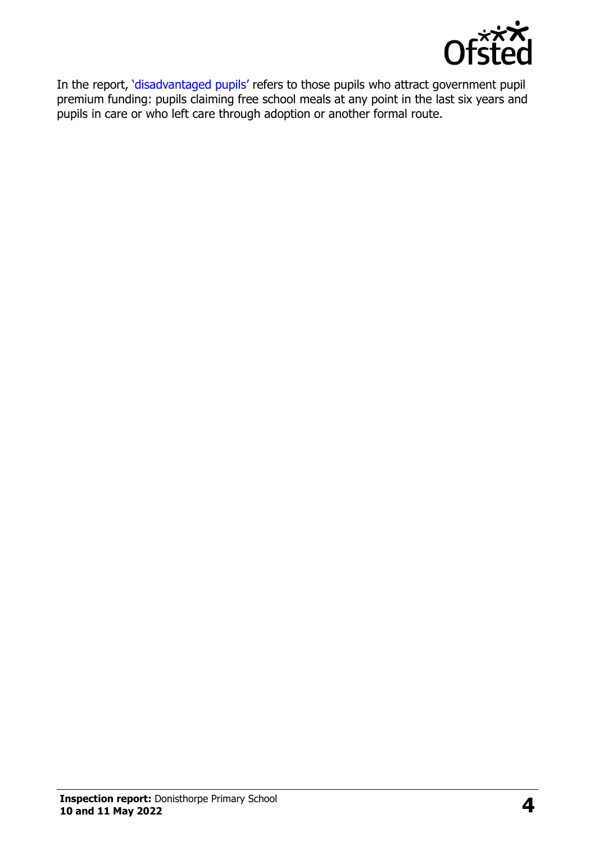

In the report, '[disadvantaged pupils](http://www.gov.uk/guidance/pupil-premium-information-for-schools-and-alternative-provision-settings)' refers to those pupils who attract government pupil premium funding: pupils claiming free school meals at any point in the last six years and pupils in care or who left care through adoption or another formal route.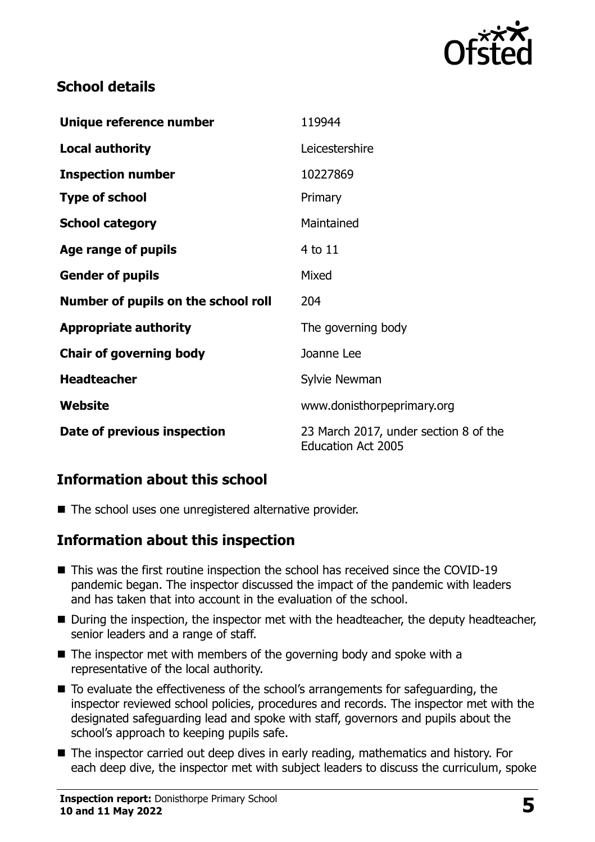

# **School details**

| Unique reference number             | 119944                                                             |
|-------------------------------------|--------------------------------------------------------------------|
| <b>Local authority</b>              | Leicestershire                                                     |
| <b>Inspection number</b>            | 10227869                                                           |
| <b>Type of school</b>               | Primary                                                            |
| <b>School category</b>              | Maintained                                                         |
| Age range of pupils                 | 4 to 11                                                            |
| <b>Gender of pupils</b>             | Mixed                                                              |
| Number of pupils on the school roll | 204                                                                |
| <b>Appropriate authority</b>        | The governing body                                                 |
| <b>Chair of governing body</b>      | Joanne Lee                                                         |
| <b>Headteacher</b>                  | Sylvie Newman                                                      |
| Website                             | www.donisthorpeprimary.org                                         |
| Date of previous inspection         | 23 March 2017, under section 8 of the<br><b>Education Act 2005</b> |

# **Information about this school**

■ The school uses one unregistered alternative provider.

# **Information about this inspection**

- This was the first routine inspection the school has received since the COVID-19 pandemic began. The inspector discussed the impact of the pandemic with leaders and has taken that into account in the evaluation of the school.
- During the inspection, the inspector met with the headteacher, the deputy headteacher, senior leaders and a range of staff.
- $\blacksquare$  The inspector met with members of the governing body and spoke with a representative of the local authority.
- To evaluate the effectiveness of the school's arrangements for safeguarding, the inspector reviewed school policies, procedures and records. The inspector met with the designated safeguarding lead and spoke with staff, governors and pupils about the school's approach to keeping pupils safe.
- The inspector carried out deep dives in early reading, mathematics and history. For each deep dive, the inspector met with subject leaders to discuss the curriculum, spoke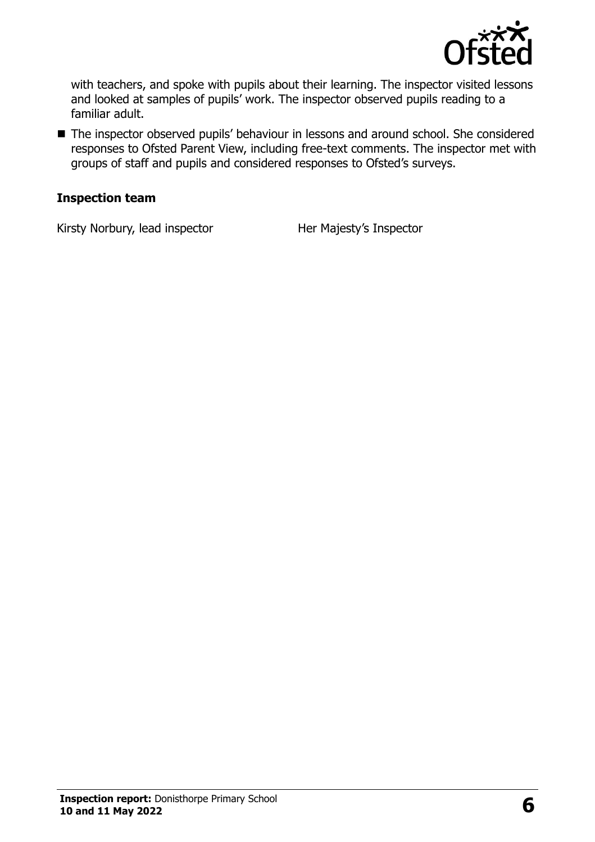

with teachers, and spoke with pupils about their learning. The inspector visited lessons and looked at samples of pupils' work. The inspector observed pupils reading to a familiar adult.

■ The inspector observed pupils' behaviour in lessons and around school. She considered responses to Ofsted Parent View, including free-text comments. The inspector met with groups of staff and pupils and considered responses to Ofsted's surveys.

#### **Inspection team**

Kirsty Norbury, lead inspector Her Majesty's Inspector